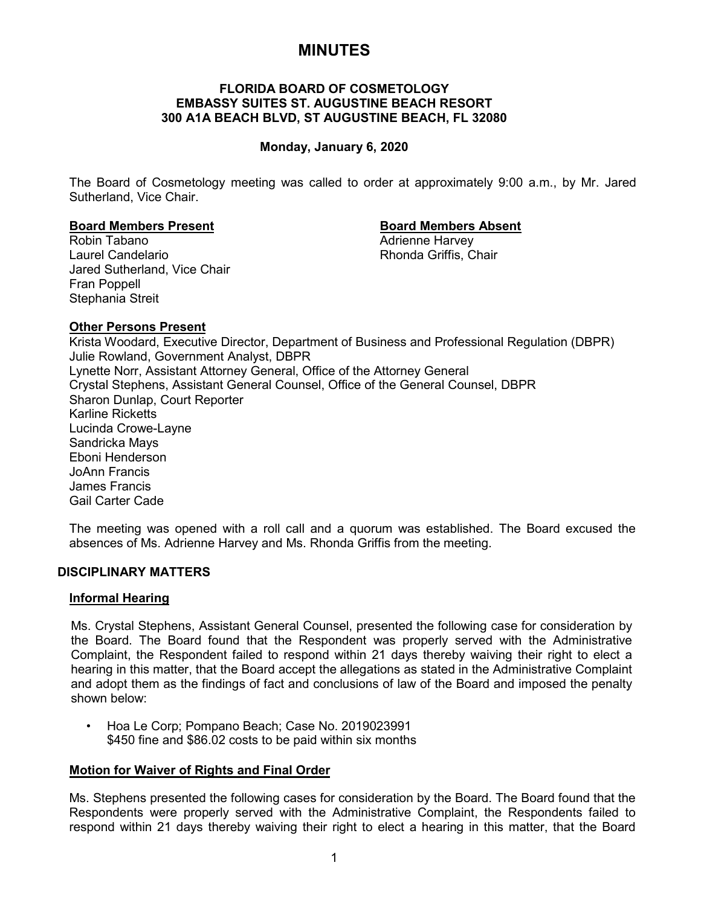# **MINUTES**

## **FLORIDA BOARD OF COSMETOLOGY EMBASSY SUITES ST. AUGUSTINE BEACH RESORT 300 A1A BEACH BLVD, ST AUGUSTINE BEACH, FL 32080**

## **Monday, January 6, 2020**

The Board of Cosmetology meeting was called to order at approximately 9:00 a.m., by Mr. Jared Sutherland, Vice Chair.

**Adrienne Harvey** 

**Board Members Present Board Members Absent** Laurel Candelario **Rhonda Griffis, Chair** Jared Sutherland, Vice Chair Fran Poppell Stephania Streit

## **Other Persons Present**

Krista Woodard, Executive Director, Department of Business and Professional Regulation (DBPR) Julie Rowland, Government Analyst, DBPR Lynette Norr, Assistant Attorney General, Office of the Attorney General Crystal Stephens, Assistant General Counsel, Office of the General Counsel, DBPR Sharon Dunlap, Court Reporter Karline Ricketts Lucinda Crowe-Layne Sandricka Mays Eboni Henderson JoAnn Francis James Francis Gail Carter Cade

The meeting was opened with a roll call and a quorum was established. The Board excused the absences of Ms. Adrienne Harvey and Ms. Rhonda Griffis from the meeting.

## **DISCIPLINARY MATTERS**

## **Informal Hearing**

Ms. Crystal Stephens, Assistant General Counsel, presented the following case for consideration by the Board. The Board found that the Respondent was properly served with the Administrative Complaint, the Respondent failed to respond within 21 days thereby waiving their right to elect a hearing in this matter, that the Board accept the allegations as stated in the Administrative Complaint and adopt them as the findings of fact and conclusions of law of the Board and imposed the penalty shown below:

• Hoa Le Corp; Pompano Beach; Case No. 2019023991 \$450 fine and \$86.02 costs to be paid within six months

## **Motion for Waiver of Rights and Final Order**

Ms. Stephens presented the following cases for consideration by the Board. The Board found that the Respondents were properly served with the Administrative Complaint, the Respondents failed to respond within 21 days thereby waiving their right to elect a hearing in this matter, that the Board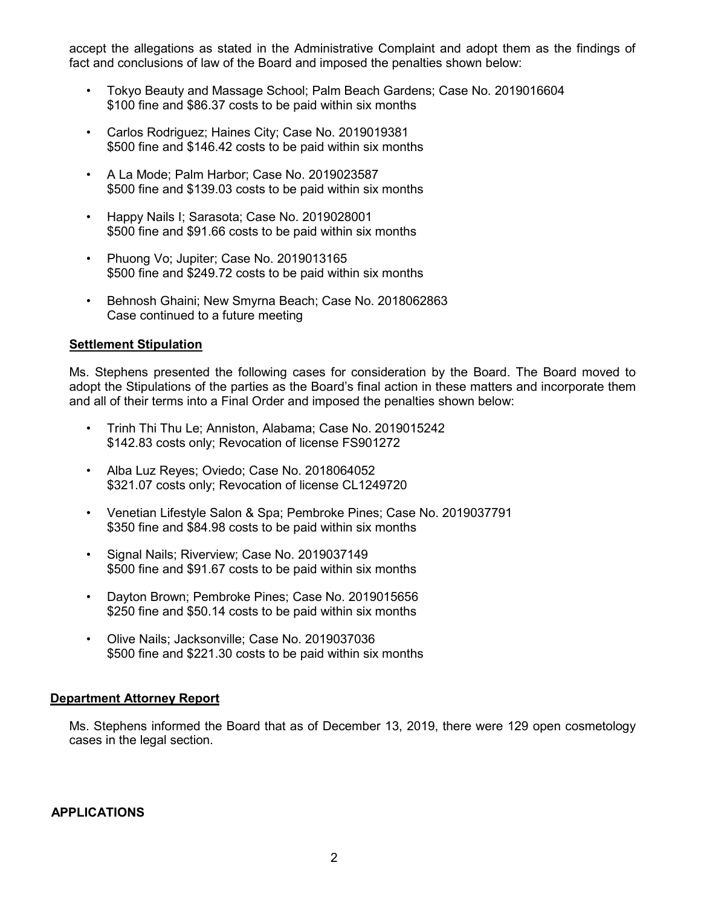accept the allegations as stated in the Administrative Complaint and adopt them as the findings of fact and conclusions of law of the Board and imposed the penalties shown below:

- Tokyo Beauty and Massage School; Palm Beach Gardens; Case No. 2019016604 \$100 fine and \$86.37 costs to be paid within six months
- Carlos Rodriguez; Haines City; Case No. 2019019381 \$500 fine and \$146.42 costs to be paid within six months
- A La Mode; Palm Harbor; Case No. 2019023587 \$500 fine and \$139.03 costs to be paid within six months
- Happy Nails I; Sarasota; Case No. 2019028001 \$500 fine and \$91.66 costs to be paid within six months
- Phuong Vo; Jupiter; Case No. 2019013165 \$500 fine and \$249.72 costs to be paid within six months
- Behnosh Ghaini; New Smyrna Beach; Case No. 2018062863 Case continued to a future meeting

## **Settlement Stipulation**

Ms. Stephens presented the following cases for consideration by the Board. The Board moved to adopt the Stipulations of the parties as the Board's final action in these matters and incorporate them and all of their terms into a Final Order and imposed the penalties shown below:

- Trinh Thi Thu Le; Anniston, Alabama; Case No. 2019015242 \$142.83 costs only; Revocation of license FS901272
- Alba Luz Reyes; Oviedo; Case No. 2018064052 \$321.07 costs only; Revocation of license CL1249720
- Venetian Lifestyle Salon & Spa; Pembroke Pines; Case No. 2019037791 \$350 fine and \$84.98 costs to be paid within six months
- Signal Nails; Riverview; Case No. 2019037149 \$500 fine and \$91.67 costs to be paid within six months
- Dayton Brown; Pembroke Pines; Case No. 2019015656 \$250 fine and \$50.14 costs to be paid within six months
- Olive Nails; Jacksonville; Case No. 2019037036 \$500 fine and \$221.30 costs to be paid within six months

## **Department Attorney Report**

Ms. Stephens informed the Board that as of December 13, 2019, there were 129 open cosmetology cases in the legal section.

## **APPLICATIONS**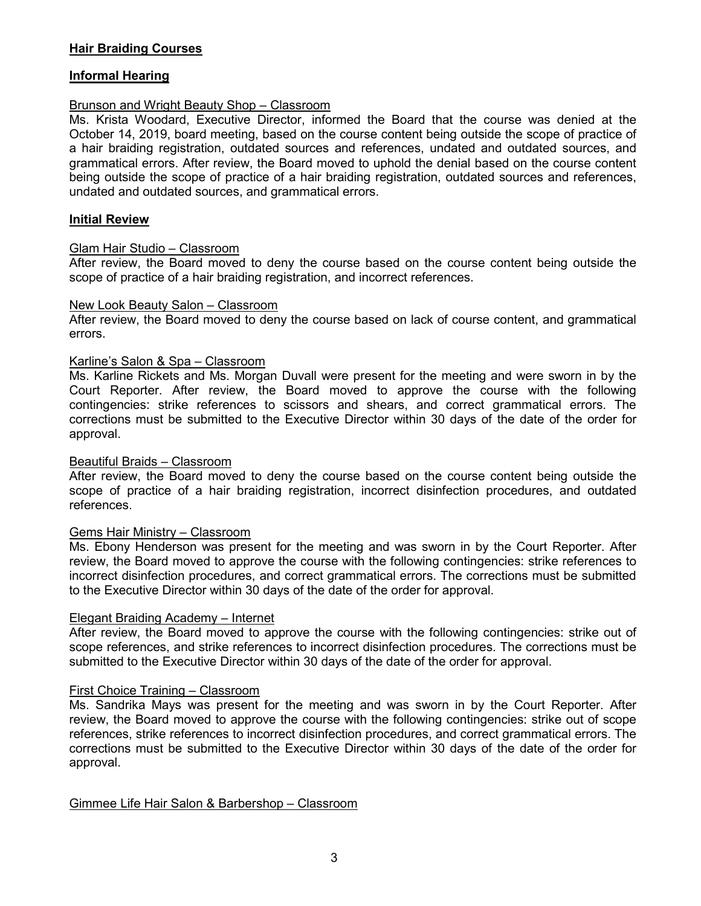## **Hair Braiding Courses**

## **Informal Hearing**

## Brunson and Wright Beauty Shop – Classroom

Ms. Krista Woodard, Executive Director, informed the Board that the course was denied at the October 14, 2019, board meeting, based on the course content being outside the scope of practice of a hair braiding registration, outdated sources and references, undated and outdated sources, and grammatical errors. After review, the Board moved to uphold the denial based on the course content being outside the scope of practice of a hair braiding registration, outdated sources and references, undated and outdated sources, and grammatical errors.

## **Initial Review**

## Glam Hair Studio – Classroom

After review, the Board moved to deny the course based on the course content being outside the scope of practice of a hair braiding registration, and incorrect references.

## New Look Beauty Salon – Classroom

After review, the Board moved to deny the course based on lack of course content, and grammatical errors.

## Karline's Salon & Spa – Classroom

Ms. Karline Rickets and Ms. Morgan Duvall were present for the meeting and were sworn in by the Court Reporter. After review, the Board moved to approve the course with the following contingencies: strike references to scissors and shears, and correct grammatical errors. The corrections must be submitted to the Executive Director within 30 days of the date of the order for approval.

## Beautiful Braids – Classroom

After review, the Board moved to deny the course based on the course content being outside the scope of practice of a hair braiding registration, incorrect disinfection procedures, and outdated references.

## Gems Hair Ministry – Classroom

Ms. Ebony Henderson was present for the meeting and was sworn in by the Court Reporter. After review, the Board moved to approve the course with the following contingencies: strike references to incorrect disinfection procedures, and correct grammatical errors. The corrections must be submitted to the Executive Director within 30 days of the date of the order for approval.

## Elegant Braiding Academy – Internet

After review, the Board moved to approve the course with the following contingencies: strike out of scope references, and strike references to incorrect disinfection procedures. The corrections must be submitted to the Executive Director within 30 days of the date of the order for approval.

## First Choice Training – Classroom

Ms. Sandrika Mays was present for the meeting and was sworn in by the Court Reporter. After review, the Board moved to approve the course with the following contingencies: strike out of scope references, strike references to incorrect disinfection procedures, and correct grammatical errors. The corrections must be submitted to the Executive Director within 30 days of the date of the order for approval.

Gimmee Life Hair Salon & Barbershop – Classroom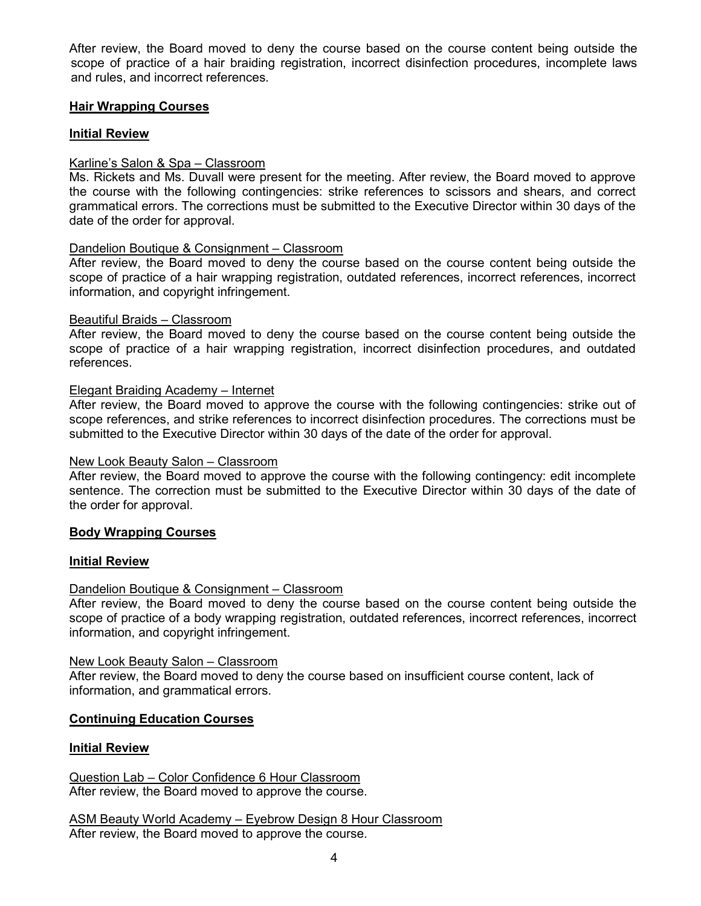After review, the Board moved to deny the course based on the course content being outside the scope of practice of a hair braiding registration, incorrect disinfection procedures, incomplete laws and rules, and incorrect references.

## **Hair Wrapping Courses**

## **Initial Review**

## Karline's Salon & Spa – Classroom

Ms. Rickets and Ms. Duvall were present for the meeting. After review, the Board moved to approve the course with the following contingencies: strike references to scissors and shears, and correct grammatical errors. The corrections must be submitted to the Executive Director within 30 days of the date of the order for approval.

## Dandelion Boutique & Consignment – Classroom

After review, the Board moved to deny the course based on the course content being outside the scope of practice of a hair wrapping registration, outdated references, incorrect references, incorrect information, and copyright infringement.

## Beautiful Braids – Classroom

After review, the Board moved to deny the course based on the course content being outside the scope of practice of a hair wrapping registration, incorrect disinfection procedures, and outdated references.

## Elegant Braiding Academy – Internet

After review, the Board moved to approve the course with the following contingencies: strike out of scope references, and strike references to incorrect disinfection procedures. The corrections must be submitted to the Executive Director within 30 days of the date of the order for approval.

## New Look Beauty Salon – Classroom

After review, the Board moved to approve the course with the following contingency: edit incomplete sentence. The correction must be submitted to the Executive Director within 30 days of the date of the order for approval.

## **Body Wrapping Courses**

## **Initial Review**

## Dandelion Boutique & Consignment – Classroom

After review, the Board moved to deny the course based on the course content being outside the scope of practice of a body wrapping registration, outdated references, incorrect references, incorrect information, and copyright infringement.

## New Look Beauty Salon – Classroom

After review, the Board moved to deny the course based on insufficient course content, lack of information, and grammatical errors.

## **Continuing Education Courses**

## **Initial Review**

Question Lab – Color Confidence 6 Hour Classroom After review, the Board moved to approve the course.

ASM Beauty World Academy – Eyebrow Design 8 Hour Classroom After review, the Board moved to approve the course.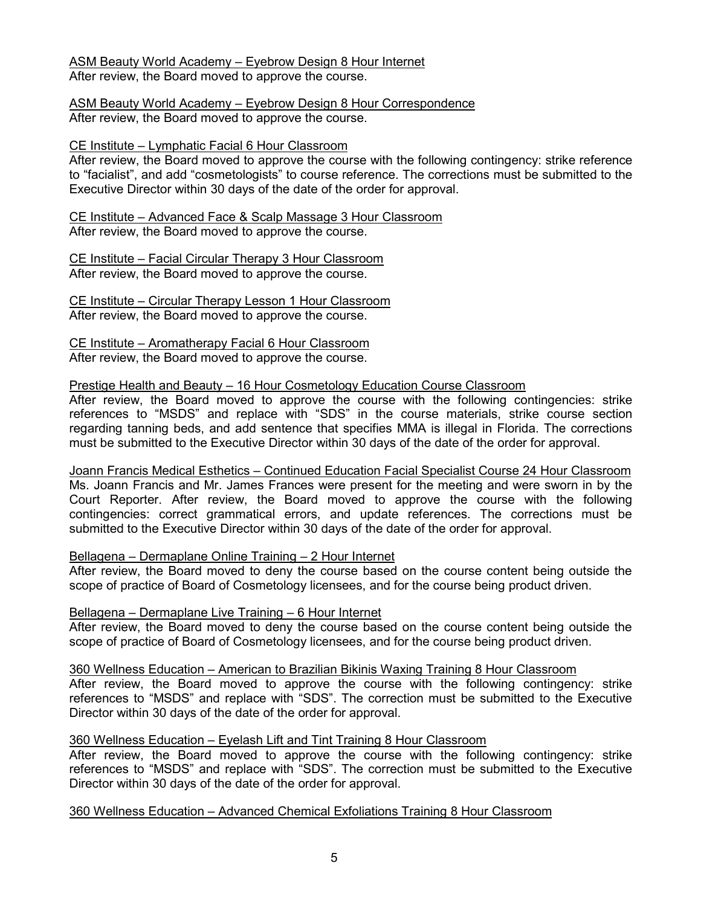## ASM Beauty World Academy – Eyebrow Design 8 Hour Internet

After review, the Board moved to approve the course.

ASM Beauty World Academy – Eyebrow Design 8 Hour Correspondence After review, the Board moved to approve the course.

## CE Institute – Lymphatic Facial 6 Hour Classroom

After review, the Board moved to approve the course with the following contingency: strike reference to "facialist", and add "cosmetologists" to course reference. The corrections must be submitted to the Executive Director within 30 days of the date of the order for approval.

#### CE Institute – Advanced Face & Scalp Massage 3 Hour Classroom After review, the Board moved to approve the course.

CE Institute – Facial Circular Therapy 3 Hour Classroom After review, the Board moved to approve the course.

CE Institute – Circular Therapy Lesson 1 Hour Classroom After review, the Board moved to approve the course.

CE Institute – Aromatherapy Facial 6 Hour Classroom After review, the Board moved to approve the course.

## Prestige Health and Beauty – 16 Hour Cosmetology Education Course Classroom

After review, the Board moved to approve the course with the following contingencies: strike references to "MSDS" and replace with "SDS" in the course materials, strike course section regarding tanning beds, and add sentence that specifies MMA is illegal in Florida. The corrections must be submitted to the Executive Director within 30 days of the date of the order for approval.

Joann Francis Medical Esthetics – Continued Education Facial Specialist Course 24 Hour Classroom Ms. Joann Francis and Mr. James Frances were present for the meeting and were sworn in by the Court Reporter. After review, the Board moved to approve the course with the following contingencies: correct grammatical errors, and update references. The corrections must be submitted to the Executive Director within 30 days of the date of the order for approval.

## Bellagena – Dermaplane Online Training – 2 Hour Internet

After review, the Board moved to deny the course based on the course content being outside the scope of practice of Board of Cosmetology licensees, and for the course being product driven.

## Bellagena – Dermaplane Live Training – 6 Hour Internet

After review, the Board moved to deny the course based on the course content being outside the scope of practice of Board of Cosmetology licensees, and for the course being product driven.

360 Wellness Education – American to Brazilian Bikinis Waxing Training 8 Hour Classroom After review, the Board moved to approve the course with the following contingency: strike references to "MSDS" and replace with "SDS". The correction must be submitted to the Executive Director within 30 days of the date of the order for approval.

## 360 Wellness Education – Eyelash Lift and Tint Training 8 Hour Classroom

After review, the Board moved to approve the course with the following contingency: strike references to "MSDS" and replace with "SDS". The correction must be submitted to the Executive Director within 30 days of the date of the order for approval.

## 360 Wellness Education – Advanced Chemical Exfoliations Training 8 Hour Classroom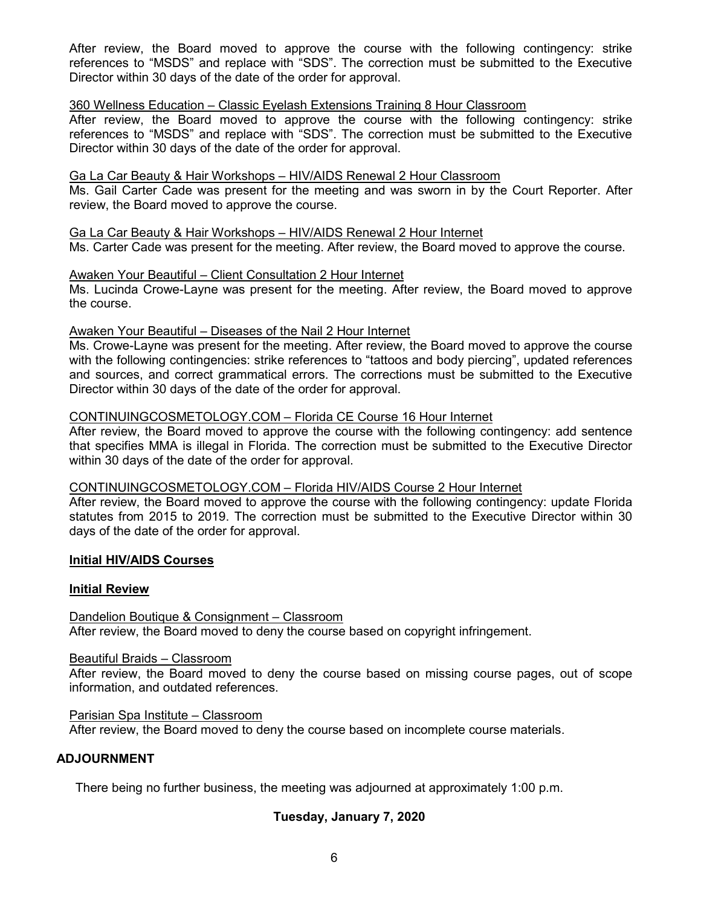After review, the Board moved to approve the course with the following contingency: strike references to "MSDS" and replace with "SDS". The correction must be submitted to the Executive Director within 30 days of the date of the order for approval.

## 360 Wellness Education – Classic Eyelash Extensions Training 8 Hour Classroom

After review, the Board moved to approve the course with the following contingency: strike references to "MSDS" and replace with "SDS". The correction must be submitted to the Executive Director within 30 days of the date of the order for approval.

## Ga La Car Beauty & Hair Workshops – HIV/AIDS Renewal 2 Hour Classroom

Ms. Gail Carter Cade was present for the meeting and was sworn in by the Court Reporter. After review, the Board moved to approve the course.

## Ga La Car Beauty & Hair Workshops – HIV/AIDS Renewal 2 Hour Internet

Ms. Carter Cade was present for the meeting. After review, the Board moved to approve the course.

#### Awaken Your Beautiful – Client Consultation 2 Hour Internet

Ms. Lucinda Crowe-Layne was present for the meeting. After review, the Board moved to approve the course.

## Awaken Your Beautiful – Diseases of the Nail 2 Hour Internet

Ms. Crowe-Layne was present for the meeting. After review, the Board moved to approve the course with the following contingencies: strike references to "tattoos and body piercing", updated references and sources, and correct grammatical errors. The corrections must be submitted to the Executive Director within 30 days of the date of the order for approval.

## CONTINUINGCOSMETOLOGY.COM – Florida CE Course 16 Hour Internet

After review, the Board moved to approve the course with the following contingency: add sentence that specifies MMA is illegal in Florida. The correction must be submitted to the Executive Director within 30 days of the date of the order for approval.

## CONTINUINGCOSMETOLOGY.COM – Florida HIV/AIDS Course 2 Hour Internet

After review, the Board moved to approve the course with the following contingency: update Florida statutes from 2015 to 2019. The correction must be submitted to the Executive Director within 30 days of the date of the order for approval.

## **Initial HIV/AIDS Courses**

## **Initial Review**

## Dandelion Boutique & Consignment – Classroom

After review, the Board moved to deny the course based on copyright infringement.

#### Beautiful Braids – Classroom

After review, the Board moved to deny the course based on missing course pages, out of scope information, and outdated references.

#### Parisian Spa Institute – Classroom

After review, the Board moved to deny the course based on incomplete course materials.

#### **ADJOURNMENT**

There being no further business, the meeting was adjourned at approximately 1:00 p.m.

## **Tuesday, January 7, 2020**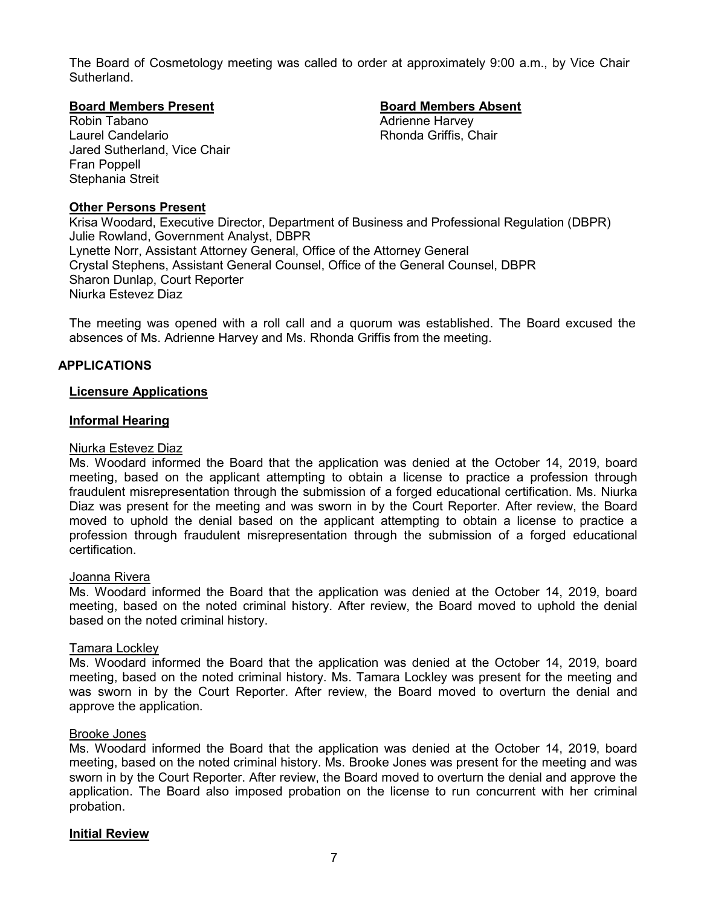The Board of Cosmetology meeting was called to order at approximately 9:00 a.m., by Vice Chair **Sutherland** 

#### **Board Members Present Board Members Absent**

Robin Tabano **Adrienne Harvey Adrienne Harvey** Laurel Candelario **Rhonda Griffis, Chair** Jared Sutherland, Vice Chair Fran Poppell Stephania Streit

## **Other Persons Present**

Krisa Woodard, Executive Director, Department of Business and Professional Regulation (DBPR) Julie Rowland, Government Analyst, DBPR Lynette Norr, Assistant Attorney General, Office of the Attorney General Crystal Stephens, Assistant General Counsel, Office of the General Counsel, DBPR Sharon Dunlap, Court Reporter Niurka Estevez Diaz

The meeting was opened with a roll call and a quorum was established. The Board excused the absences of Ms. Adrienne Harvey and Ms. Rhonda Griffis from the meeting.

#### **APPLICATIONS**

#### **Licensure Applications**

#### **Informal Hearing**

#### Niurka Estevez Diaz

Ms. Woodard informed the Board that the application was denied at the October 14, 2019, board meeting, based on the applicant attempting to obtain a license to practice a profession through fraudulent misrepresentation through the submission of a forged educational certification. Ms. Niurka Diaz was present for the meeting and was sworn in by the Court Reporter. After review, the Board moved to uphold the denial based on the applicant attempting to obtain a license to practice a profession through fraudulent misrepresentation through the submission of a forged educational certification.

#### Joanna Rivera

Ms. Woodard informed the Board that the application was denied at the October 14, 2019, board meeting, based on the noted criminal history. After review, the Board moved to uphold the denial based on the noted criminal history.

#### Tamara Lockley

Ms. Woodard informed the Board that the application was denied at the October 14, 2019, board meeting, based on the noted criminal history. Ms. Tamara Lockley was present for the meeting and was sworn in by the Court Reporter. After review, the Board moved to overturn the denial and approve the application.

#### Brooke Jones

Ms. Woodard informed the Board that the application was denied at the October 14, 2019, board meeting, based on the noted criminal history. Ms. Brooke Jones was present for the meeting and was sworn in by the Court Reporter. After review, the Board moved to overturn the denial and approve the application. The Board also imposed probation on the license to run concurrent with her criminal probation.

#### **Initial Review**